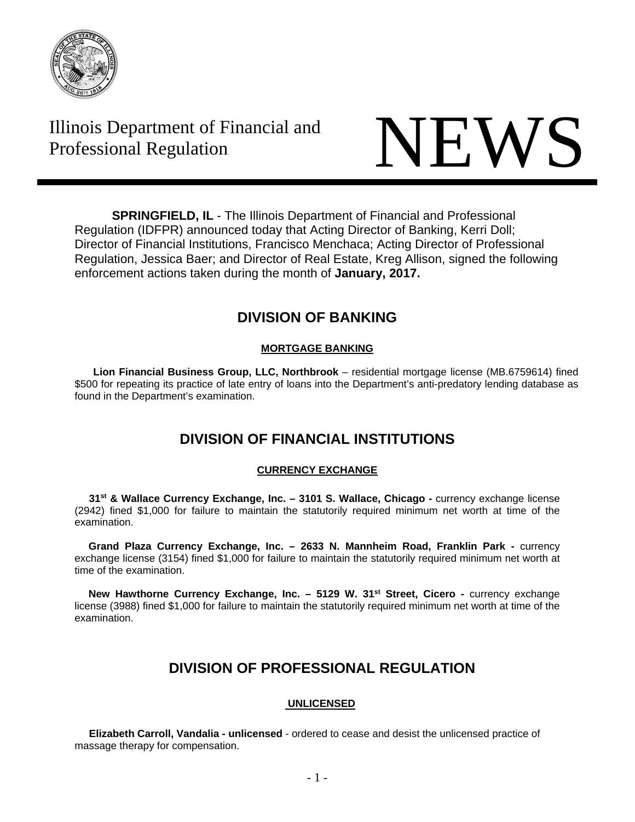

# Illinois Department of Financial and



**SPRINGFIELD, IL** - The Illinois Department of Financial and Professional Regulation (IDFPR) announced today that Acting Director of Banking, Kerri Doll; Director of Financial Institutions, Francisco Menchaca; Acting Director of Professional Regulation, Jessica Baer; and Director of Real Estate, Kreg Allison, signed the following enforcement actions taken during the month of **January, 2017.** 

# **DIVISION OF BANKING**

# **MORTGAGE BANKING**

 **Lion Financial Business Group, LLC, Northbrook** – residential mortgage license (MB.6759614) fined \$500 for repeating its practice of late entry of loans into the Department's anti-predatory lending database as found in the Department's examination.

# **DIVISION OF FINANCIAL INSTITUTIONS**

# **CURRENCY EXCHANGE**

**31<sup>st</sup> & Wallace Currency Exchange, Inc. – 3101 S. Wallace, Chicago - currency exchange license** (2942) fined \$1,000 for failure to maintain the statutorily required minimum net worth at time of the examination.

 **Grand Plaza Currency Exchange, Inc. – 2633 N. Mannheim Road, Franklin Park -** currency exchange license (3154) fined \$1,000 for failure to maintain the statutorily required minimum net worth at time of the examination.

New Hawthorne Currency Exchange, Inc. - 5129 W. 31<sup>st</sup> Street, Cicero - currency exchange license (3988) fined \$1,000 for failure to maintain the statutorily required minimum net worth at time of the examination.

# **DIVISION OF PROFESSIONAL REGULATION**

# **UNLICENSED**

 **Elizabeth Carroll, Vandalia - unlicensed** - ordered to cease and desist the unlicensed practice of massage therapy for compensation.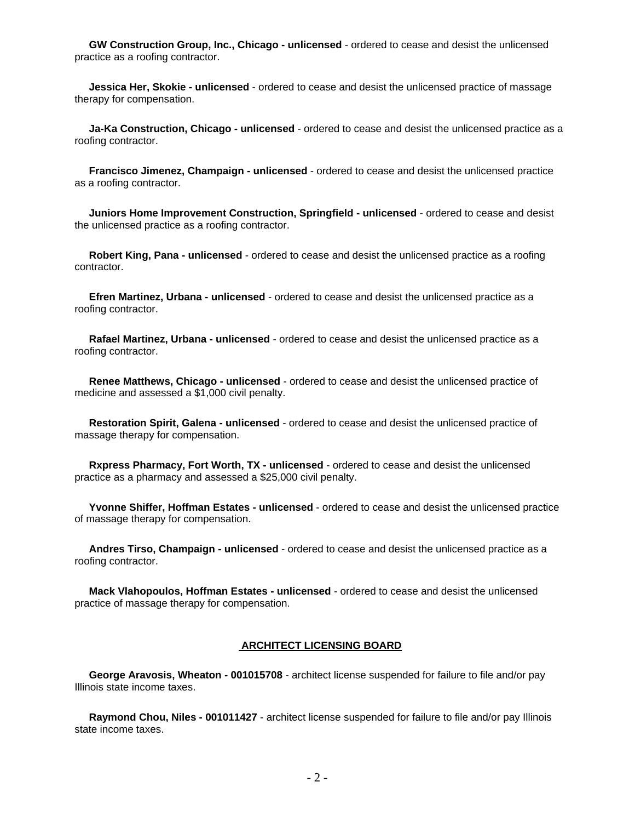**GW Construction Group, Inc., Chicago - unlicensed** - ordered to cease and desist the unlicensed practice as a roofing contractor.

 **Jessica Her, Skokie - unlicensed** - ordered to cease and desist the unlicensed practice of massage therapy for compensation.

 **Ja-Ka Construction, Chicago - unlicensed** - ordered to cease and desist the unlicensed practice as a roofing contractor.

 **Francisco Jimenez, Champaign - unlicensed** - ordered to cease and desist the unlicensed practice as a roofing contractor.

 **Juniors Home Improvement Construction, Springfield - unlicensed** - ordered to cease and desist the unlicensed practice as a roofing contractor.

 **Robert King, Pana - unlicensed** - ordered to cease and desist the unlicensed practice as a roofing contractor.

 **Efren Martinez, Urbana - unlicensed** - ordered to cease and desist the unlicensed practice as a roofing contractor.

 **Rafael Martinez, Urbana - unlicensed** - ordered to cease and desist the unlicensed practice as a roofing contractor.

 **Renee Matthews, Chicago - unlicensed** - ordered to cease and desist the unlicensed practice of medicine and assessed a \$1,000 civil penalty.

 **Restoration Spirit, Galena - unlicensed** - ordered to cease and desist the unlicensed practice of massage therapy for compensation.

 **Rxpress Pharmacy, Fort Worth, TX - unlicensed** - ordered to cease and desist the unlicensed practice as a pharmacy and assessed a \$25,000 civil penalty.

 **Yvonne Shiffer, Hoffman Estates - unlicensed** - ordered to cease and desist the unlicensed practice of massage therapy for compensation.

 **Andres Tirso, Champaign - unlicensed** - ordered to cease and desist the unlicensed practice as a roofing contractor.

 **Mack Vlahopoulos, Hoffman Estates - unlicensed** - ordered to cease and desist the unlicensed practice of massage therapy for compensation.

# **ARCHITECT LICENSING BOARD**

 **George Aravosis, Wheaton - 001015708** - architect license suspended for failure to file and/or pay Illinois state income taxes.

 **Raymond Chou, Niles - 001011427** - architect license suspended for failure to file and/or pay Illinois state income taxes.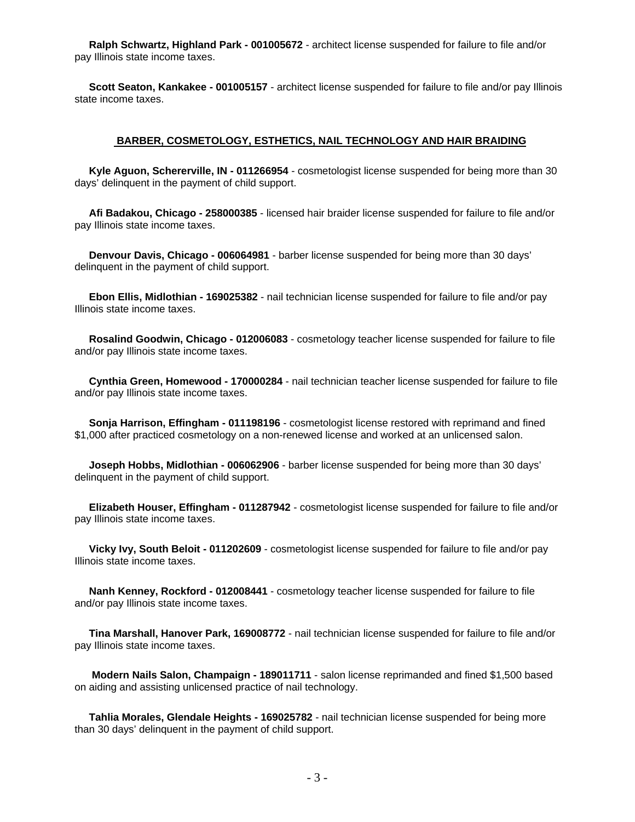**Ralph Schwartz, Highland Park - 001005672** - architect license suspended for failure to file and/or pay Illinois state income taxes.

 **Scott Seaton, Kankakee - 001005157** - architect license suspended for failure to file and/or pay Illinois state income taxes.

## **BARBER, COSMETOLOGY, ESTHETICS, NAIL TECHNOLOGY AND HAIR BRAIDING**

 **Kyle Aguon, Schererville, IN - 011266954** - cosmetologist license suspended for being more than 30 days' delinquent in the payment of child support.

 **Afi Badakou, Chicago - 258000385** - licensed hair braider license suspended for failure to file and/or pay Illinois state income taxes.

 **Denvour Davis, Chicago - 006064981** - barber license suspended for being more than 30 days' delinquent in the payment of child support.

 **Ebon Ellis, Midlothian - 169025382** - nail technician license suspended for failure to file and/or pay Illinois state income taxes.

 **Rosalind Goodwin, Chicago - 012006083** - cosmetology teacher license suspended for failure to file and/or pay Illinois state income taxes.

 **Cynthia Green, Homewood - 170000284** - nail technician teacher license suspended for failure to file and/or pay Illinois state income taxes.

 **Sonja Harrison, Effingham - 011198196** - cosmetologist license restored with reprimand and fined \$1,000 after practiced cosmetology on a non-renewed license and worked at an unlicensed salon.

 **Joseph Hobbs, Midlothian - 006062906** - barber license suspended for being more than 30 days' delinquent in the payment of child support.

 **Elizabeth Houser, Effingham - 011287942** - cosmetologist license suspended for failure to file and/or pay Illinois state income taxes.

 **Vicky Ivy, South Beloit - 011202609** - cosmetologist license suspended for failure to file and/or pay Illinois state income taxes.

 **Nanh Kenney, Rockford - 012008441** - cosmetology teacher license suspended for failure to file and/or pay Illinois state income taxes.

 **Tina Marshall, Hanover Park, 169008772** - nail technician license suspended for failure to file and/or pay Illinois state income taxes.

 **Modern Nails Salon, Champaign - 189011711** - salon license reprimanded and fined \$1,500 based on aiding and assisting unlicensed practice of nail technology.

 **Tahlia Morales, Glendale Heights - 169025782** - nail technician license suspended for being more than 30 days' delinquent in the payment of child support.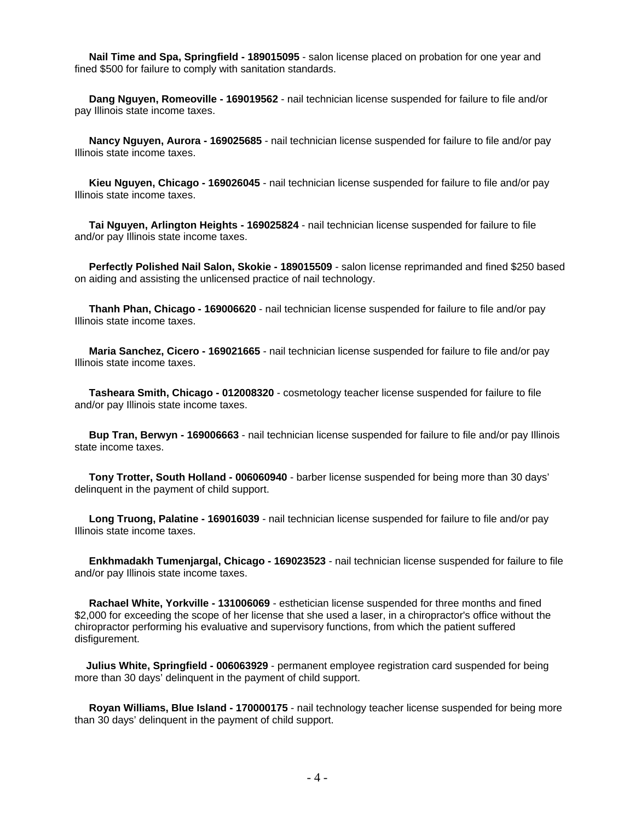**Nail Time and Spa, Springfield - 189015095** - salon license placed on probation for one year and fined \$500 for failure to comply with sanitation standards.

 **Dang Nguyen, Romeoville - 169019562** - nail technician license suspended for failure to file and/or pay Illinois state income taxes.

 **Nancy Nguyen, Aurora - 169025685** - nail technician license suspended for failure to file and/or pay Illinois state income taxes.

 **Kieu Nguyen, Chicago - 169026045** - nail technician license suspended for failure to file and/or pay Illinois state income taxes.

 **Tai Nguyen, Arlington Heights - 169025824** - nail technician license suspended for failure to file and/or pay Illinois state income taxes.

 **Perfectly Polished Nail Salon, Skokie - 189015509** - salon license reprimanded and fined \$250 based on aiding and assisting the unlicensed practice of nail technology.

 **Thanh Phan, Chicago - 169006620** - nail technician license suspended for failure to file and/or pay Illinois state income taxes.

 **Maria Sanchez, Cicero - 169021665** - nail technician license suspended for failure to file and/or pay Illinois state income taxes.

 **Tasheara Smith, Chicago - 012008320** - cosmetology teacher license suspended for failure to file and/or pay Illinois state income taxes.

 **Bup Tran, Berwyn - 169006663** - nail technician license suspended for failure to file and/or pay Illinois state income taxes.

 **Tony Trotter, South Holland - 006060940** - barber license suspended for being more than 30 days' delinquent in the payment of child support.

 **Long Truong, Palatine - 169016039** - nail technician license suspended for failure to file and/or pay Illinois state income taxes.

 **Enkhmadakh Tumenjargal, Chicago - 169023523** - nail technician license suspended for failure to file and/or pay Illinois state income taxes.

 **Rachael White, Yorkville - 131006069** - esthetician license suspended for three months and fined \$2,000 for exceeding the scope of her license that she used a laser, in a chiropractor's office without the chiropractor performing his evaluative and supervisory functions, from which the patient suffered disfigurement.

 **Julius White, Springfield - 006063929** - permanent employee registration card suspended for being more than 30 days' delinquent in the payment of child support.

 **Royan Williams, Blue Island - 170000175** - nail technology teacher license suspended for being more than 30 days' delinquent in the payment of child support.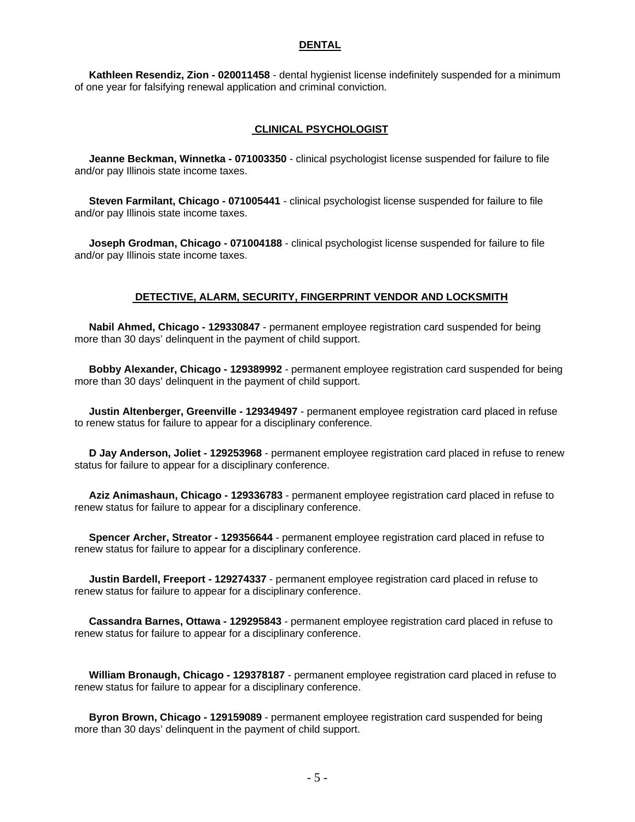#### **DENTAL**

 **Kathleen Resendiz, Zion - 020011458** - dental hygienist license indefinitely suspended for a minimum of one year for falsifying renewal application and criminal conviction.

## **CLINICAL PSYCHOLOGIST**

 **Jeanne Beckman, Winnetka - 071003350** - clinical psychologist license suspended for failure to file and/or pay Illinois state income taxes.

 **Steven Farmilant, Chicago - 071005441** - clinical psychologist license suspended for failure to file and/or pay Illinois state income taxes.

 **Joseph Grodman, Chicago - 071004188** - clinical psychologist license suspended for failure to file and/or pay Illinois state income taxes.

## **DETECTIVE, ALARM, SECURITY, FINGERPRINT VENDOR AND LOCKSMITH**

 **Nabil Ahmed, Chicago - 129330847** - permanent employee registration card suspended for being more than 30 days' delinquent in the payment of child support.

 **Bobby Alexander, Chicago - 129389992** - permanent employee registration card suspended for being more than 30 days' delinquent in the payment of child support.

 **Justin Altenberger, Greenville - 129349497** - permanent employee registration card placed in refuse to renew status for failure to appear for a disciplinary conference.

 **D Jay Anderson, Joliet - 129253968** - permanent employee registration card placed in refuse to renew status for failure to appear for a disciplinary conference.

 **Aziz Animashaun, Chicago - 129336783** - permanent employee registration card placed in refuse to renew status for failure to appear for a disciplinary conference.

 **Spencer Archer, Streator - 129356644** - permanent employee registration card placed in refuse to renew status for failure to appear for a disciplinary conference.

 **Justin Bardell, Freeport - 129274337** - permanent employee registration card placed in refuse to renew status for failure to appear for a disciplinary conference.

 **Cassandra Barnes, Ottawa - 129295843** - permanent employee registration card placed in refuse to renew status for failure to appear for a disciplinary conference.

 **William Bronaugh, Chicago - 129378187** - permanent employee registration card placed in refuse to renew status for failure to appear for a disciplinary conference.

 **Byron Brown, Chicago - 129159089** - permanent employee registration card suspended for being more than 30 days' delinquent in the payment of child support.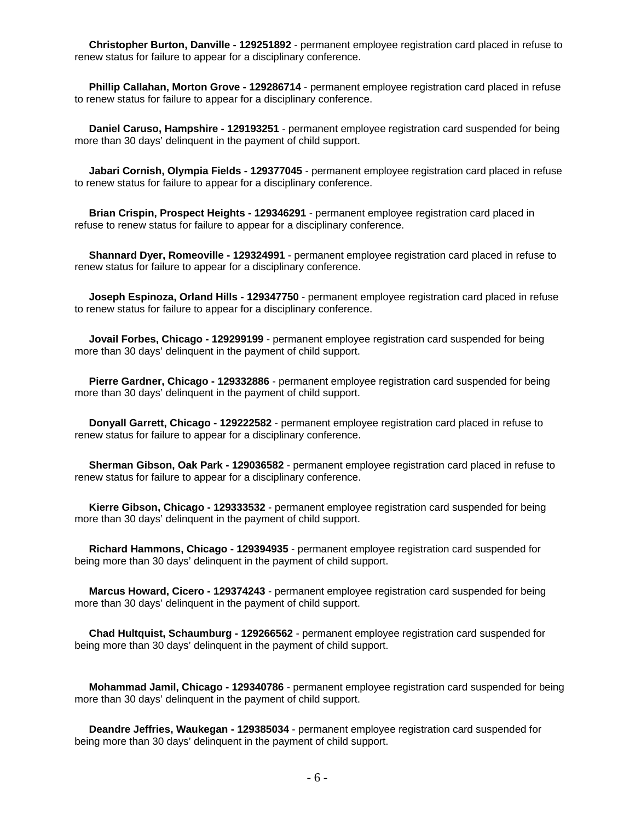**Christopher Burton, Danville - 129251892** - permanent employee registration card placed in refuse to renew status for failure to appear for a disciplinary conference.

 **Phillip Callahan, Morton Grove - 129286714** - permanent employee registration card placed in refuse to renew status for failure to appear for a disciplinary conference.

 **Daniel Caruso, Hampshire - 129193251** - permanent employee registration card suspended for being more than 30 days' delinquent in the payment of child support.

 **Jabari Cornish, Olympia Fields - 129377045** - permanent employee registration card placed in refuse to renew status for failure to appear for a disciplinary conference.

 **Brian Crispin, Prospect Heights - 129346291** - permanent employee registration card placed in refuse to renew status for failure to appear for a disciplinary conference.

 **Shannard Dyer, Romeoville - 129324991** - permanent employee registration card placed in refuse to renew status for failure to appear for a disciplinary conference.

 **Joseph Espinoza, Orland Hills - 129347750** - permanent employee registration card placed in refuse to renew status for failure to appear for a disciplinary conference.

 **Jovail Forbes, Chicago - 129299199** - permanent employee registration card suspended for being more than 30 days' delinquent in the payment of child support.

 **Pierre Gardner, Chicago - 129332886** - permanent employee registration card suspended for being more than 30 days' delinquent in the payment of child support.

 **Donyall Garrett, Chicago - 129222582** - permanent employee registration card placed in refuse to renew status for failure to appear for a disciplinary conference.

 **Sherman Gibson, Oak Park - 129036582** - permanent employee registration card placed in refuse to renew status for failure to appear for a disciplinary conference.

 **Kierre Gibson, Chicago - 129333532** - permanent employee registration card suspended for being more than 30 days' delinquent in the payment of child support.

 **Richard Hammons, Chicago - 129394935** - permanent employee registration card suspended for being more than 30 days' delinquent in the payment of child support.

 **Marcus Howard, Cicero - 129374243** - permanent employee registration card suspended for being more than 30 days' delinquent in the payment of child support.

 **Chad Hultquist, Schaumburg - 129266562** - permanent employee registration card suspended for being more than 30 days' delinquent in the payment of child support.

 **Mohammad Jamil, Chicago - 129340786** - permanent employee registration card suspended for being more than 30 days' delinquent in the payment of child support.

 **Deandre Jeffries, Waukegan - 129385034** - permanent employee registration card suspended for being more than 30 days' delinquent in the payment of child support.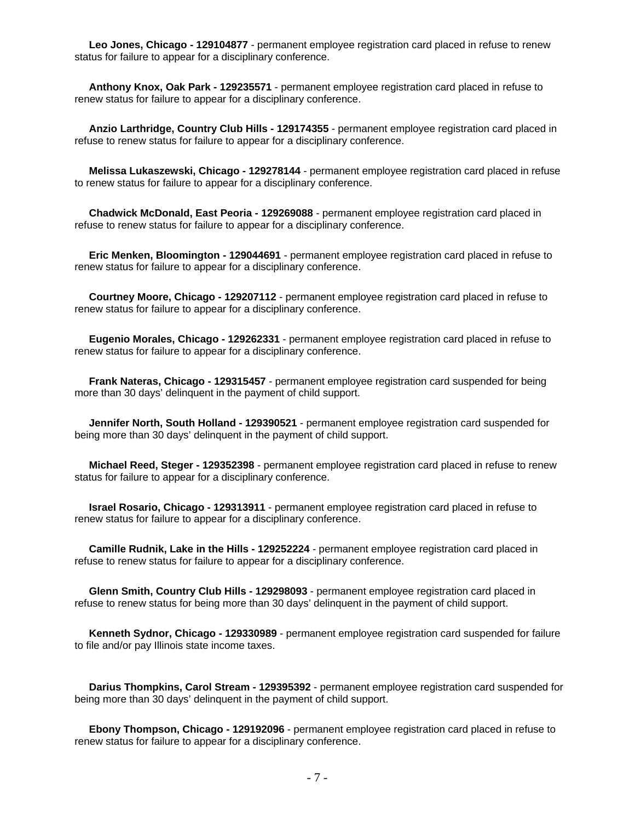**Leo Jones, Chicago - 129104877** - permanent employee registration card placed in refuse to renew status for failure to appear for a disciplinary conference.

 **Anthony Knox, Oak Park - 129235571** - permanent employee registration card placed in refuse to renew status for failure to appear for a disciplinary conference.

 **Anzio Larthridge, Country Club Hills - 129174355** - permanent employee registration card placed in refuse to renew status for failure to appear for a disciplinary conference.

 **Melissa Lukaszewski, Chicago - 129278144** - permanent employee registration card placed in refuse to renew status for failure to appear for a disciplinary conference.

 **Chadwick McDonald, East Peoria - 129269088** - permanent employee registration card placed in refuse to renew status for failure to appear for a disciplinary conference.

 **Eric Menken, Bloomington - 129044691** - permanent employee registration card placed in refuse to renew status for failure to appear for a disciplinary conference.

 **Courtney Moore, Chicago - 129207112** - permanent employee registration card placed in refuse to renew status for failure to appear for a disciplinary conference.

 **Eugenio Morales, Chicago - 129262331** - permanent employee registration card placed in refuse to renew status for failure to appear for a disciplinary conference.

 **Frank Nateras, Chicago - 129315457** - permanent employee registration card suspended for being more than 30 days' delinquent in the payment of child support.

 **Jennifer North, South Holland - 129390521** - permanent employee registration card suspended for being more than 30 days' delinquent in the payment of child support.

 **Michael Reed, Steger - 129352398** - permanent employee registration card placed in refuse to renew status for failure to appear for a disciplinary conference.

 **Israel Rosario, Chicago - 129313911** - permanent employee registration card placed in refuse to renew status for failure to appear for a disciplinary conference.

 **Camille Rudnik, Lake in the Hills - 129252224** - permanent employee registration card placed in refuse to renew status for failure to appear for a disciplinary conference.

 **Glenn Smith, Country Club Hills - 129298093** - permanent employee registration card placed in refuse to renew status for being more than 30 days' delinquent in the payment of child support.

 **Kenneth Sydnor, Chicago - 129330989** - permanent employee registration card suspended for failure to file and/or pay Illinois state income taxes.

 **Darius Thompkins, Carol Stream - 129395392** - permanent employee registration card suspended for being more than 30 days' delinquent in the payment of child support.

 **Ebony Thompson, Chicago - 129192096** - permanent employee registration card placed in refuse to renew status for failure to appear for a disciplinary conference.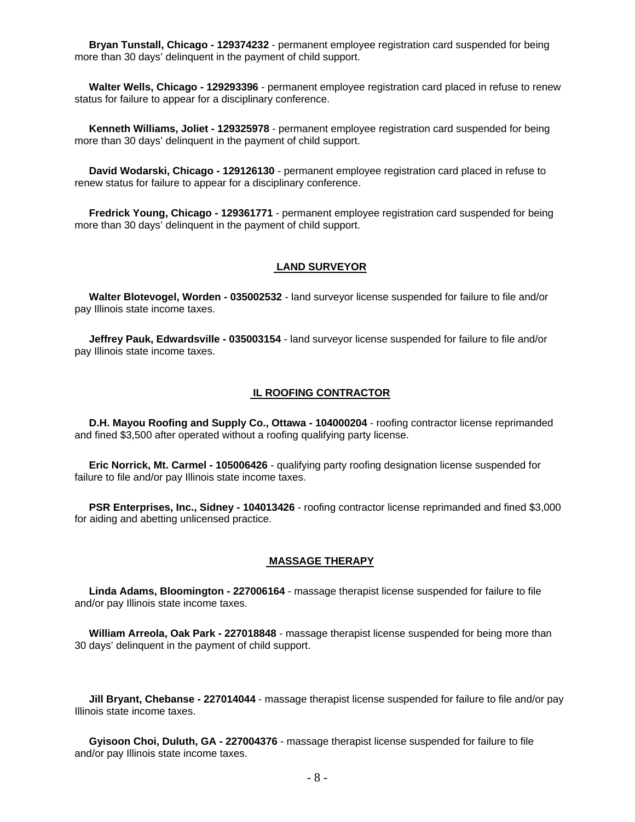**Bryan Tunstall, Chicago - 129374232** - permanent employee registration card suspended for being more than 30 days' delinquent in the payment of child support.

 **Walter Wells, Chicago - 129293396** - permanent employee registration card placed in refuse to renew status for failure to appear for a disciplinary conference.

 **Kenneth Williams, Joliet - 129325978** - permanent employee registration card suspended for being more than 30 days' delinquent in the payment of child support.

 **David Wodarski, Chicago - 129126130** - permanent employee registration card placed in refuse to renew status for failure to appear for a disciplinary conference.

 **Fredrick Young, Chicago - 129361771** - permanent employee registration card suspended for being more than 30 days' delinquent in the payment of child support.

#### **LAND SURVEYOR**

 **Walter Blotevogel, Worden - 035002532** - land surveyor license suspended for failure to file and/or pay Illinois state income taxes.

 **Jeffrey Pauk, Edwardsville - 035003154** - land surveyor license suspended for failure to file and/or pay Illinois state income taxes.

# **IL ROOFING CONTRACTOR**

 **D.H. Mayou Roofing and Supply Co., Ottawa - 104000204** - roofing contractor license reprimanded and fined \$3,500 after operated without a roofing qualifying party license.

 **Eric Norrick, Mt. Carmel - 105006426** - qualifying party roofing designation license suspended for failure to file and/or pay Illinois state income taxes.

 **PSR Enterprises, Inc., Sidney - 104013426** - roofing contractor license reprimanded and fined \$3,000 for aiding and abetting unlicensed practice.

#### **MASSAGE THERAPY**

 **Linda Adams, Bloomington - 227006164** - massage therapist license suspended for failure to file and/or pay Illinois state income taxes.

 **William Arreola, Oak Park - 227018848** - massage therapist license suspended for being more than 30 days' delinquent in the payment of child support.

 **Jill Bryant, Chebanse - 227014044** - massage therapist license suspended for failure to file and/or pay Illinois state income taxes.

 **Gyisoon Choi, Duluth, GA - 227004376** - massage therapist license suspended for failure to file and/or pay Illinois state income taxes.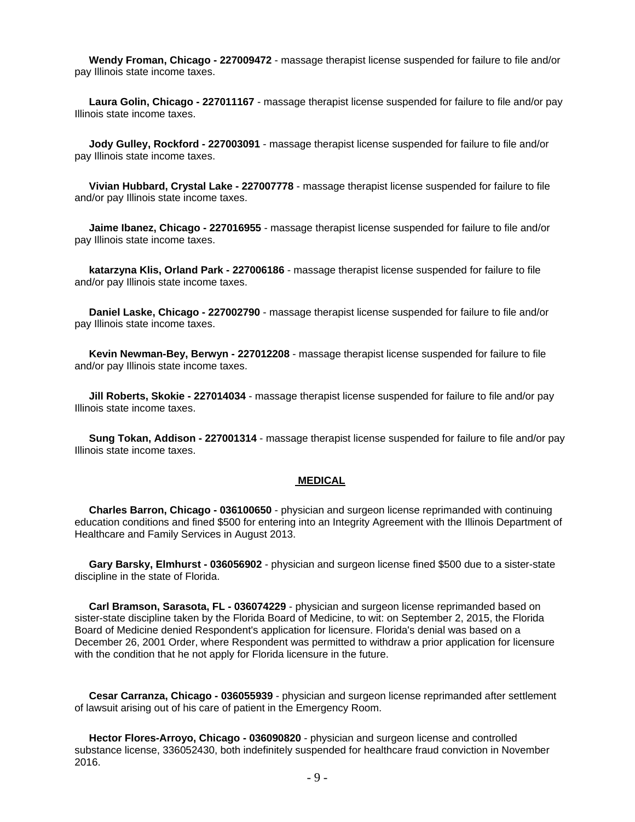**Wendy Froman, Chicago - 227009472** - massage therapist license suspended for failure to file and/or pay Illinois state income taxes.

 **Laura Golin, Chicago - 227011167** - massage therapist license suspended for failure to file and/or pay Illinois state income taxes.

 **Jody Gulley, Rockford - 227003091** - massage therapist license suspended for failure to file and/or pay Illinois state income taxes.

 **Vivian Hubbard, Crystal Lake - 227007778** - massage therapist license suspended for failure to file and/or pay Illinois state income taxes.

 **Jaime Ibanez, Chicago - 227016955** - massage therapist license suspended for failure to file and/or pay Illinois state income taxes.

 **katarzyna Klis, Orland Park - 227006186** - massage therapist license suspended for failure to file and/or pay Illinois state income taxes.

 **Daniel Laske, Chicago - 227002790** - massage therapist license suspended for failure to file and/or pay Illinois state income taxes.

 **Kevin Newman-Bey, Berwyn - 227012208** - massage therapist license suspended for failure to file and/or pay Illinois state income taxes.

 **Jill Roberts, Skokie - 227014034** - massage therapist license suspended for failure to file and/or pay Illinois state income taxes.

 **Sung Tokan, Addison - 227001314** - massage therapist license suspended for failure to file and/or pay Illinois state income taxes.

#### **MEDICAL**

 **Charles Barron, Chicago - 036100650** - physician and surgeon license reprimanded with continuing education conditions and fined \$500 for entering into an Integrity Agreement with the Illinois Department of Healthcare and Family Services in August 2013.

 **Gary Barsky, Elmhurst - 036056902** - physician and surgeon license fined \$500 due to a sister-state discipline in the state of Florida.

 **Carl Bramson, Sarasota, FL - 036074229** - physician and surgeon license reprimanded based on sister-state discipline taken by the Florida Board of Medicine, to wit: on September 2, 2015, the Florida Board of Medicine denied Respondent's application for licensure. Florida's denial was based on a December 26, 2001 Order, where Respondent was permitted to withdraw a prior application for licensure with the condition that he not apply for Florida licensure in the future.

 **Cesar Carranza, Chicago - 036055939** - physician and surgeon license reprimanded after settlement of lawsuit arising out of his care of patient in the Emergency Room.

 **Hector Flores-Arroyo, Chicago - 036090820** - physician and surgeon license and controlled substance license, 336052430, both indefinitely suspended for healthcare fraud conviction in November 2016.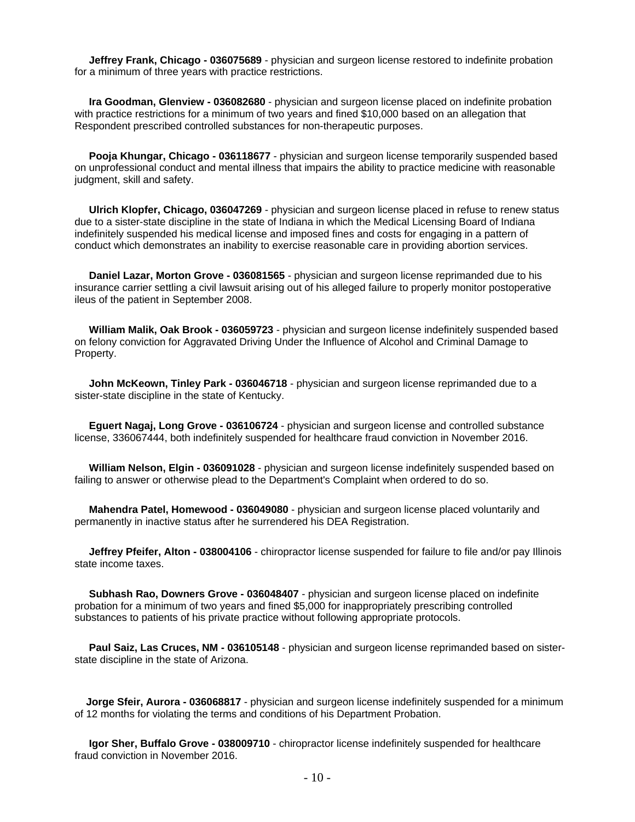**Jeffrey Frank, Chicago - 036075689** - physician and surgeon license restored to indefinite probation for a minimum of three years with practice restrictions.

 **Ira Goodman, Glenview - 036082680** - physician and surgeon license placed on indefinite probation with practice restrictions for a minimum of two years and fined \$10,000 based on an allegation that Respondent prescribed controlled substances for non-therapeutic purposes.

 **Pooja Khungar, Chicago - 036118677** - physician and surgeon license temporarily suspended based on unprofessional conduct and mental illness that impairs the ability to practice medicine with reasonable judgment, skill and safety.

 **Ulrich Klopfer, Chicago, 036047269** - physician and surgeon license placed in refuse to renew status due to a sister-state discipline in the state of Indiana in which the Medical Licensing Board of Indiana indefinitely suspended his medical license and imposed fines and costs for engaging in a pattern of conduct which demonstrates an inability to exercise reasonable care in providing abortion services.

 **Daniel Lazar, Morton Grove - 036081565** - physician and surgeon license reprimanded due to his insurance carrier settling a civil lawsuit arising out of his alleged failure to properly monitor postoperative ileus of the patient in September 2008.

 **William Malik, Oak Brook - 036059723** - physician and surgeon license indefinitely suspended based on felony conviction for Aggravated Driving Under the Influence of Alcohol and Criminal Damage to Property.

 **John McKeown, Tinley Park - 036046718** - physician and surgeon license reprimanded due to a sister-state discipline in the state of Kentucky.

 **Eguert Nagaj, Long Grove - 036106724** - physician and surgeon license and controlled substance license, 336067444, both indefinitely suspended for healthcare fraud conviction in November 2016.

 **William Nelson, Elgin - 036091028** - physician and surgeon license indefinitely suspended based on failing to answer or otherwise plead to the Department's Complaint when ordered to do so.

 **Mahendra Patel, Homewood - 036049080** - physician and surgeon license placed voluntarily and permanently in inactive status after he surrendered his DEA Registration.

 **Jeffrey Pfeifer, Alton - 038004106** - chiropractor license suspended for failure to file and/or pay Illinois state income taxes.

 **Subhash Rao, Downers Grove - 036048407** - physician and surgeon license placed on indefinite probation for a minimum of two years and fined \$5,000 for inappropriately prescribing controlled substances to patients of his private practice without following appropriate protocols.

 **Paul Saiz, Las Cruces, NM - 036105148** - physician and surgeon license reprimanded based on sisterstate discipline in the state of Arizona.

 **Jorge Sfeir, Aurora - 036068817** - physician and surgeon license indefinitely suspended for a minimum of 12 months for violating the terms and conditions of his Department Probation.

 **Igor Sher, Buffalo Grove - 038009710** - chiropractor license indefinitely suspended for healthcare fraud conviction in November 2016.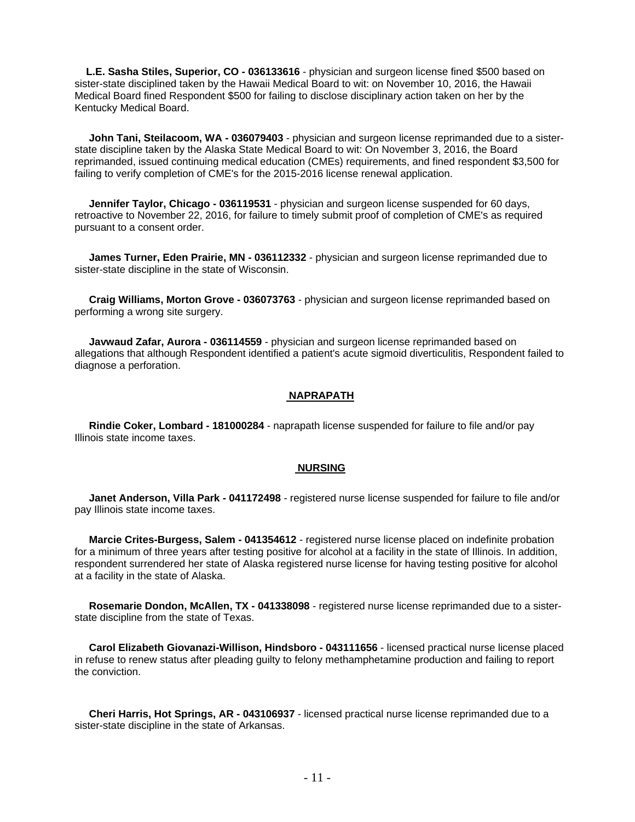**L.E. Sasha Stiles, Superior, CO - 036133616** - physician and surgeon license fined \$500 based on sister-state disciplined taken by the Hawaii Medical Board to wit: on November 10, 2016, the Hawaii Medical Board fined Respondent \$500 for failing to disclose disciplinary action taken on her by the Kentucky Medical Board.

 **John Tani, Steilacoom, WA - 036079403** - physician and surgeon license reprimanded due to a sisterstate discipline taken by the Alaska State Medical Board to wit: On November 3, 2016, the Board reprimanded, issued continuing medical education (CMEs) requirements, and fined respondent \$3,500 for failing to verify completion of CME's for the 2015-2016 license renewal application.

 **Jennifer Taylor, Chicago - 036119531** - physician and surgeon license suspended for 60 days, retroactive to November 22, 2016, for failure to timely submit proof of completion of CME's as required pursuant to a consent order.

 **James Turner, Eden Prairie, MN - 036112332** - physician and surgeon license reprimanded due to sister-state discipline in the state of Wisconsin.

 **Craig Williams, Morton Grove - 036073763** - physician and surgeon license reprimanded based on performing a wrong site surgery.

 **Javwaud Zafar, Aurora - 036114559** - physician and surgeon license reprimanded based on allegations that although Respondent identified a patient's acute sigmoid diverticulitis, Respondent failed to diagnose a perforation.

# **NAPRAPATH**

 **Rindie Coker, Lombard - 181000284** - naprapath license suspended for failure to file and/or pay Illinois state income taxes.

## **NURSING**

 **Janet Anderson, Villa Park - 041172498** - registered nurse license suspended for failure to file and/or pay Illinois state income taxes.

 **Marcie Crites-Burgess, Salem - 041354612** - registered nurse license placed on indefinite probation for a minimum of three years after testing positive for alcohol at a facility in the state of Illinois. In addition, respondent surrendered her state of Alaska registered nurse license for having testing positive for alcohol at a facility in the state of Alaska.

 **Rosemarie Dondon, McAllen, TX - 041338098** - registered nurse license reprimanded due to a sisterstate discipline from the state of Texas.

 **Carol Elizabeth Giovanazi-Willison, Hindsboro - 043111656** - licensed practical nurse license placed in refuse to renew status after pleading guilty to felony methamphetamine production and failing to report the conviction.

 **Cheri Harris, Hot Springs, AR - 043106937** - licensed practical nurse license reprimanded due to a sister-state discipline in the state of Arkansas.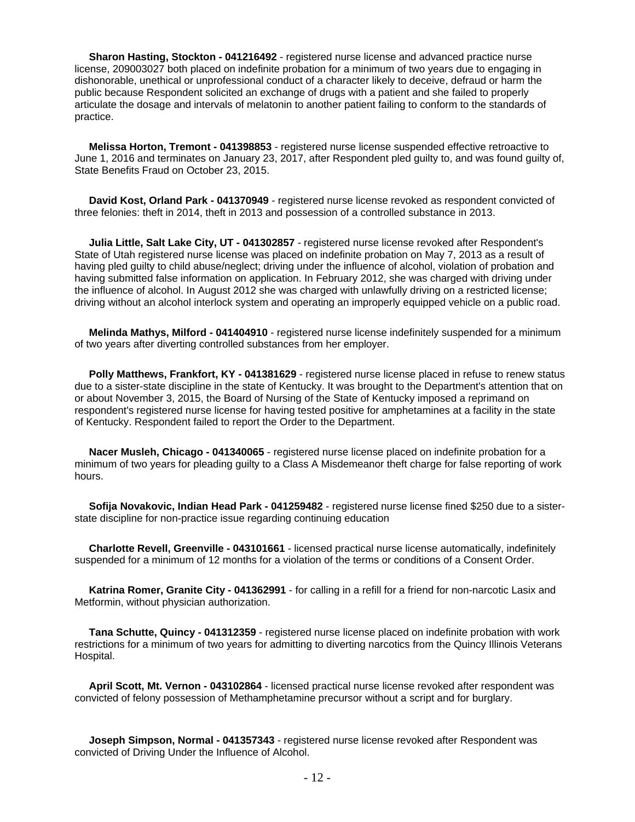**Sharon Hasting, Stockton - 041216492** - registered nurse license and advanced practice nurse license, 209003027 both placed on indefinite probation for a minimum of two years due to engaging in dishonorable, unethical or unprofessional conduct of a character likely to deceive, defraud or harm the public because Respondent solicited an exchange of drugs with a patient and she failed to properly articulate the dosage and intervals of melatonin to another patient failing to conform to the standards of practice.

 **Melissa Horton, Tremont - 041398853** - registered nurse license suspended effective retroactive to June 1, 2016 and terminates on January 23, 2017, after Respondent pled guilty to, and was found guilty of, State Benefits Fraud on October 23, 2015.

 **David Kost, Orland Park - 041370949** - registered nurse license revoked as respondent convicted of three felonies: theft in 2014, theft in 2013 and possession of a controlled substance in 2013.

 **Julia Little, Salt Lake City, UT - 041302857** - registered nurse license revoked after Respondent's State of Utah registered nurse license was placed on indefinite probation on May 7, 2013 as a result of having pled guilty to child abuse/neglect; driving under the influence of alcohol, violation of probation and having submitted false information on application. In February 2012, she was charged with driving under the influence of alcohol. In August 2012 she was charged with unlawfully driving on a restricted license; driving without an alcohol interlock system and operating an improperly equipped vehicle on a public road.

 **Melinda Mathys, Milford - 041404910** - registered nurse license indefinitely suspended for a minimum of two years after diverting controlled substances from her employer.

 **Polly Matthews, Frankfort, KY - 041381629** - registered nurse license placed in refuse to renew status due to a sister-state discipline in the state of Kentucky. It was brought to the Department's attention that on or about November 3, 2015, the Board of Nursing of the State of Kentucky imposed a reprimand on respondent's registered nurse license for having tested positive for amphetamines at a facility in the state of Kentucky. Respondent failed to report the Order to the Department.

 **Nacer Musleh, Chicago - 041340065** - registered nurse license placed on indefinite probation for a minimum of two years for pleading guilty to a Class A Misdemeanor theft charge for false reporting of work hours.

 **Sofija Novakovic, Indian Head Park - 041259482** - registered nurse license fined \$250 due to a sisterstate discipline for non-practice issue regarding continuing education

 **Charlotte Revell, Greenville - 043101661** - licensed practical nurse license automatically, indefinitely suspended for a minimum of 12 months for a violation of the terms or conditions of a Consent Order.

 **Katrina Romer, Granite City - 041362991** - for calling in a refill for a friend for non-narcotic Lasix and Metformin, without physician authorization.

 **Tana Schutte, Quincy - 041312359** - registered nurse license placed on indefinite probation with work restrictions for a minimum of two years for admitting to diverting narcotics from the Quincy Illinois Veterans Hospital.

 **April Scott, Mt. Vernon - 043102864** - licensed practical nurse license revoked after respondent was convicted of felony possession of Methamphetamine precursor without a script and for burglary.

 **Joseph Simpson, Normal - 041357343** - registered nurse license revoked after Respondent was convicted of Driving Under the Influence of Alcohol.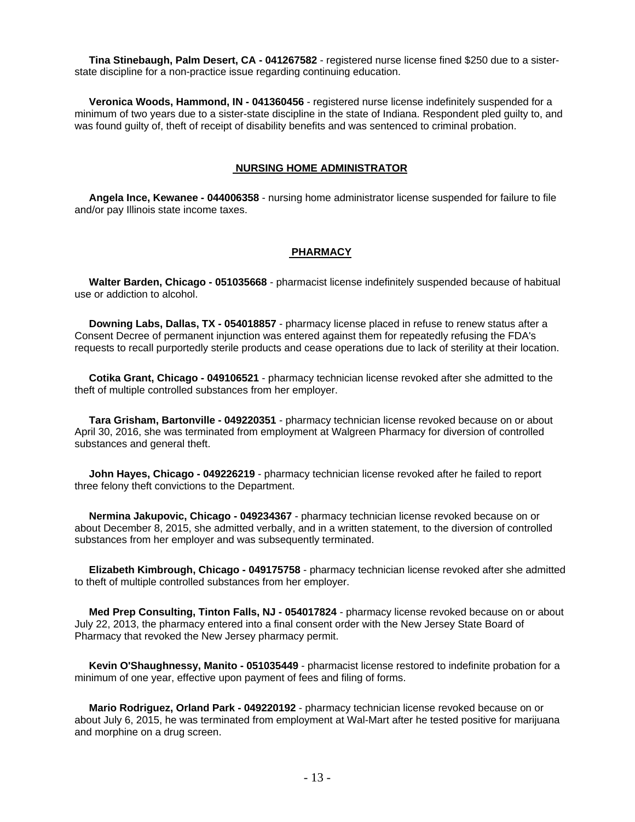**Tina Stinebaugh, Palm Desert, CA - 041267582** - registered nurse license fined \$250 due to a sisterstate discipline for a non-practice issue regarding continuing education.

 **Veronica Woods, Hammond, IN - 041360456** - registered nurse license indefinitely suspended for a minimum of two years due to a sister-state discipline in the state of Indiana. Respondent pled guilty to, and was found guilty of, theft of receipt of disability benefits and was sentenced to criminal probation.

# **NURSING HOME ADMINISTRATOR**

 **Angela Ince, Kewanee - 044006358** - nursing home administrator license suspended for failure to file and/or pay Illinois state income taxes.

# **PHARMACY**

 **Walter Barden, Chicago - 051035668** - pharmacist license indefinitely suspended because of habitual use or addiction to alcohol.

 **Downing Labs, Dallas, TX - 054018857** - pharmacy license placed in refuse to renew status after a Consent Decree of permanent injunction was entered against them for repeatedly refusing the FDA's requests to recall purportedly sterile products and cease operations due to lack of sterility at their location.

 **Cotika Grant, Chicago - 049106521** - pharmacy technician license revoked after she admitted to the theft of multiple controlled substances from her employer.

 **Tara Grisham, Bartonville - 049220351** - pharmacy technician license revoked because on or about April 30, 2016, she was terminated from employment at Walgreen Pharmacy for diversion of controlled substances and general theft.

 **John Hayes, Chicago - 049226219** - pharmacy technician license revoked after he failed to report three felony theft convictions to the Department.

 **Nermina Jakupovic, Chicago - 049234367** - pharmacy technician license revoked because on or about December 8, 2015, she admitted verbally, and in a written statement, to the diversion of controlled substances from her employer and was subsequently terminated.

 **Elizabeth Kimbrough, Chicago - 049175758** - pharmacy technician license revoked after she admitted to theft of multiple controlled substances from her employer.

 **Med Prep Consulting, Tinton Falls, NJ - 054017824** - pharmacy license revoked because on or about July 22, 2013, the pharmacy entered into a final consent order with the New Jersey State Board of Pharmacy that revoked the New Jersey pharmacy permit.

 **Kevin O'Shaughnessy, Manito - 051035449** - pharmacist license restored to indefinite probation for a minimum of one year, effective upon payment of fees and filing of forms.

 **Mario Rodriguez, Orland Park - 049220192** - pharmacy technician license revoked because on or about July 6, 2015, he was terminated from employment at Wal-Mart after he tested positive for marijuana and morphine on a drug screen.